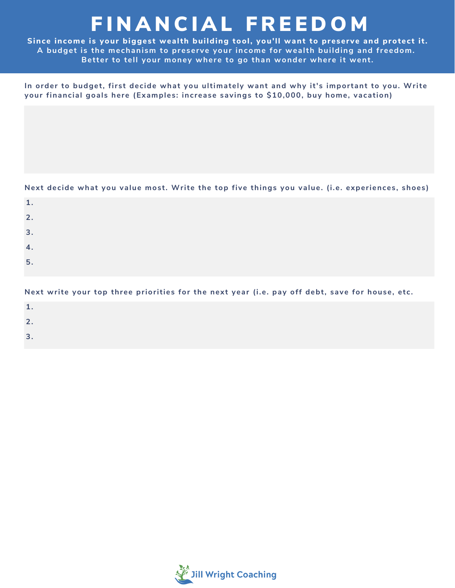## **FINANCIAL FREEDOM**

**Since income is your biggest wealth building tool, you'll want to preserve and protect it. A budget is the mechanism to preserve your income for wealth building and freedom. Better to tell your money where to go than wonder where it went.**

**In order to budget, first decide what you ultimately want and why it's important to you. Write your financial goals here (Examples: increase savings to \$10,000, buy home, vacation)**

**Next decide what you value most. Write the top five things you value. (i.e. experiences, shoes)**

| 1. |  |  |
|----|--|--|
| 2. |  |  |
| 3. |  |  |
| 4. |  |  |
| 5. |  |  |
|    |  |  |

**Next write your top three priorities for the next year (i.e. pay off debt, save for house, etc.**

| . .    |  |  |
|--------|--|--|
|        |  |  |
| -<br>- |  |  |